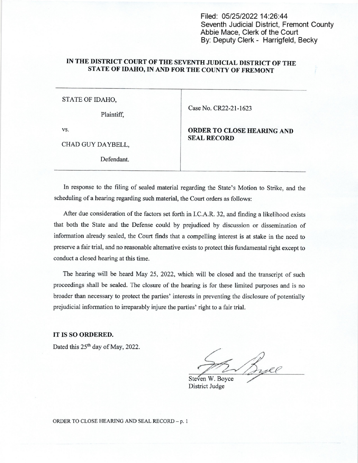Filed: 05/25/2022 14:26:44 Seventh Judicial District, Fremont County Abbie Mace, Clerk of the Court By: Deputy Clerk - Harrigfeld, Becky

## IN THE DISTRICT COURT OF THE SEVENTH JUDICIAL DISTRICT OF THE STATE 0F IDAHO, IN AND FOR THE COUNTY OF FREMONT

## STATE OF IDAHO,

Plaintiff.

Case No. CR22-21-1623

CHAD GUY DAYBELL,

Defendant.

vs. **ORDER TO CLOSE HEARING AND** SEAL RECORD

In response to the filing of sealed material regarding the State's Motion to Strike, and the scheduling of a hearing regarding such material, the Court orders as follows:

After due consideration of the factors set forth in I.C.A.R. 32, and finding a likelihood exists that both the State and the Defense could by prejudiced by discussion or dissemination of information already sealed, the Court finds that a compelling interest is at stake in the need to preserve a fair trial, and no reasonable alternative exists to protect this fundamental right except to conduct a closed hearing at this time.

The hearing will be heard May 25, 2022, which will be closed and the transcript of such proceedings shall be sealed. The closure of the hearing is for these limited purposes and is no broader than necessary to protect the parties' interests in preventing the disclosure of potentially prejudicial information to irreparably injure the parties' right to a fair trial.

IT IS SO ORDERED.

Dated this 25<sup>th</sup> day of May, 2022.

Steven W. Boyce<br>Steven W. Boyce<br>District Judge

District Judge

ORDER TO CLOSE HEARING AND SEAL RECORD - p. 1